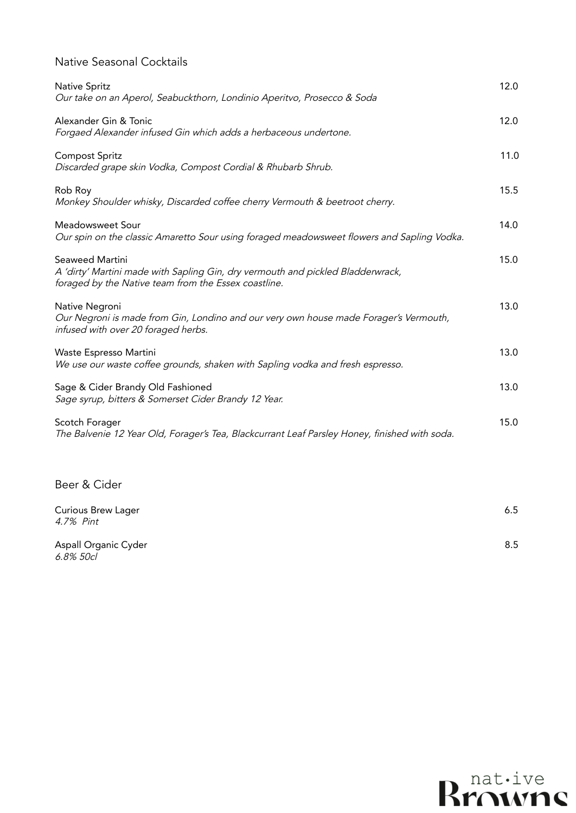## Native Seasonal Cocktails

| Native Spritz<br>Our take on an Aperol, Seabuckthorn, Londinio Aperitvo, Prosecco & Soda                                                                   | 12.0 |
|------------------------------------------------------------------------------------------------------------------------------------------------------------|------|
| Alexander Gin & Tonic<br>Forgaed Alexander infused Gin which adds a herbaceous undertone.                                                                  | 12.0 |
| <b>Compost Spritz</b><br>Discarded grape skin Vodka, Compost Cordial & Rhubarb Shrub.                                                                      | 11.0 |
| Rob Roy<br>Monkey Shoulder whisky, Discarded coffee cherry Vermouth & beetroot cherry.                                                                     | 15.5 |
| Meadowsweet Sour<br>Our spin on the classic Amaretto Sour using foraged meadowsweet flowers and Sapling Vodka.                                             | 14.0 |
| Seaweed Martini<br>A 'dirty' Martini made with Sapling Gin, dry vermouth and pickled Bladderwrack,<br>foraged by the Native team from the Essex coastline. | 15.0 |
| Native Negroni<br>Our Negroni is made from Gin, Londino and our very own house made Forager's Vermouth,<br>infused with over 20 foraged herbs.             | 13.0 |
| Waste Espresso Martini<br>We use our waste coffee grounds, shaken with Sapling vodka and fresh espresso.                                                   | 13.0 |
| Sage & Cider Brandy Old Fashioned<br>Sage syrup, bitters & Somerset Cider Brandy 12 Year.                                                                  | 13.0 |
| Scotch Forager<br>The Balvenie 12 Year Old, Forager's Tea, Blackcurrant Leaf Parsley Honey, finished with soda.                                            | 15.0 |

## Beer & Cider

| <b>Curious Brew Lager</b><br>4.7% Pint | 6.5 |
|----------------------------------------|-----|
| Aspall Organic Cyder<br>6.8% 50cl      | 8.5 |